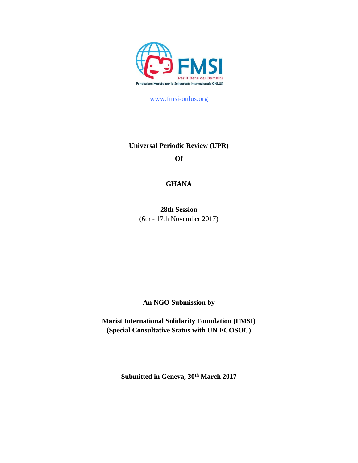

[www.fmsi-onlus.org](http://www.fmsi-onus.org/)

# **Universal Periodic Review (UPR) Of**

# **GHANA**

**28th Session** (6th - 17th November 2017)

**An NGO Submission by** 

**Marist International Solidarity Foundation (FMSI) (Special Consultative Status with UN ECOSOC)**

**Submitted in Geneva, 30th March 2017**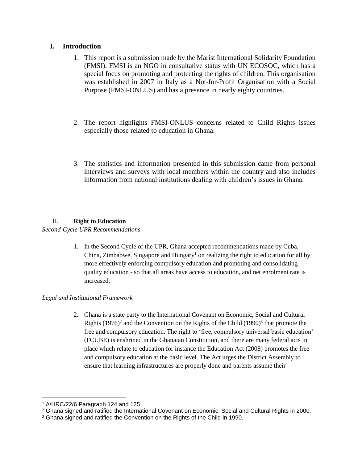# **I. Introduction**

- 1. This report is a submission made by the Marist International Solidarity Foundation (FMSI). FMSI is an NGO in consultative status with UN ECOSOC, which has a special focus on promoting and protecting the rights of children. This organisation was established in 2007 in Italy as a Not-for-Profit Organisation with a Social Purpose (FMSI-ONLUS) and has a presence in nearly eighty countries.
- 2. The report highlights FMSI-ONLUS concerns related to Child Rights issues especially those related to education in Ghana.
- 3. The statistics and information presented in this submission came from personal interviews and surveys with local members within the country and also includes information from national institutions dealing with children's issues in Ghana.

# II. **Right to Education**

## *Second-Cycle UPR Recommendations*

1. In the Second Cycle of the UPR, Ghana accepted recommendations made by Cuba, China, Zimbabwe, Singapore and Hungary<sup>1</sup> on realizing the right to education for all by more effectively enforcing compulsory education and promoting and consolidating quality education - so that all areas have access to education, and net enrolment rate is increased.

# *Legal and Institutional Framework*

2. Ghana is a state party to the International Covenant on Economic, Social and Cultural Rights  $(1976)^2$  and the Convention on the Rights of the Child  $(1990)^3$  that promote the free and compulsory education. The right to 'free, compulsory universal basic education' (FCUBE) is enshrined in the Ghanaian Constitution, and there are many federal acts in place which relate to education for instance the Education Act (2008) promotes the free and compulsory education at the basic level. The Act urges the District Assembly to ensure that learning infrastructures are properly done and parents assume their

 $\overline{a}$ 

<sup>1</sup> A/HRC/22/6 Paragraph 124 and 125

<sup>2</sup> Ghana signed and ratified the International Covenant on Economic, Social and Cultural Rights in 2000.

<sup>3</sup> Ghana signed and ratified the Convention on the Rights of the Child in 1990.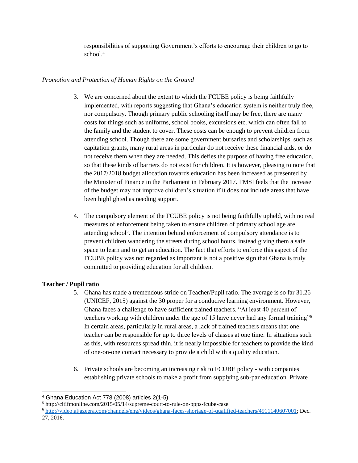responsibilities of supporting Government's efforts to encourage their children to go to school.<sup>4</sup>

## *Promotion and Protection of Human Rights on the Ground*

- 3. We are concerned about the extent to which the FCUBE policy is being faithfully implemented, with reports suggesting that Ghana's education system is neither truly free, nor compulsory. Though primary public schooling itself may be free, there are many costs for things such as uniforms, school books, excursions etc. which can often fall to the family and the student to cover. These costs can be enough to prevent children from attending school. Though there are some government bursaries and scholarships, such as capitation grants, many rural areas in particular do not receive these financial aids, or do not receive them when they are needed. This defies the purpose of having free education, so that these kinds of barriers do not exist for children. It is however, pleasing to note that the 2017/2018 budget allocation towards education has been increased as presented by the Minister of Finance in the Parliament in February 2017. FMSI feels that the increase of the budget may not improve children's situation if it does not include areas that have been highlighted as needing support.
- 4. The compulsory element of the FCUBE policy is not being faithfully upheld, with no real measures of enforcement being taken to ensure children of primary school age are attending school<sup>5</sup>. The intention behind enforcement of compulsory attendance is to prevent children wandering the streets during school hours, instead giving them a safe space to learn and to get an education. The fact that efforts to enforce this aspect of the FCUBE policy was not regarded as important is not a positive sign that Ghana is truly committed to providing education for all children.

## **Teacher / Pupil ratio**

- 5. Ghana has made a tremendous stride on Teacher/Pupil ratio. The average is so far 31.26 (UNICEF, 2015) against the 30 proper for a conducive learning environment. However, Ghana faces a challenge to have sufficient trained teachers. "At least 40 percent of teachers working with children under the age of 15 have never had any formal training"<sup>6</sup> In certain areas, particularly in rural areas, a lack of trained teachers means that one teacher can be responsible for up to three levels of classes at one time. In situations such as this, with resources spread thin, it is nearly impossible for teachers to provide the kind of one-on-one contact necessary to provide a child with a quality education.
- 6. Private schools are becoming an increasing risk to FCUBE policy with companies establishing private schools to make a profit from supplying sub-par education. Private

 <sup>4</sup> Ghana Education Act 778 (2008) articles 2(1-5)

<sup>5</sup> http://citifmonline.com/2015/05/14/supreme-court-to-rule-on-ppps-fcube-case

<sup>6</sup> [http://video.aljazeera.com/channels/eng/videos/ghana-faces-shortage-of-qualified-teachers/4911140607001;](http://video.aljazeera.com/channels/eng/videos/ghana-faces-shortage-of-qualified-teachers/4911140607001) Dec. 27, 2016.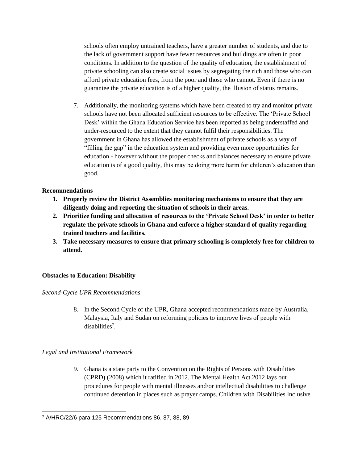schools often employ untrained teachers, have a greater number of students, and due to the lack of government support have fewer resources and buildings are often in poor conditions. In addition to the question of the quality of education, the establishment of private schooling can also create social issues by segregating the rich and those who can afford private education fees, from the poor and those who cannot. Even if there is no guarantee the private education is of a higher quality, the illusion of status remains.

7. Additionally, the monitoring systems which have been created to try and monitor private schools have not been allocated sufficient resources to be effective. The 'Private School Desk' within the Ghana Education Service has been reported as being understaffed and under-resourced to the extent that they cannot fulfil their responsibilities. The government in Ghana has allowed the establishment of private schools as a way of "filling the gap" in the education system and providing even more opportunities for education - however without the proper checks and balances necessary to ensure private education is of a good quality, this may be doing more harm for children's education than good.

## **Recommendations**

- **1. Properly review the District Assemblies monitoring mechanisms to ensure that they are diligently doing and reporting the situation of schools in their areas.**
- **2. Prioritize funding and allocation of resources to the 'Private School Desk' in order to better regulate the private schools in Ghana and enforce a higher standard of quality regarding trained teachers and facilities.**
- **3. Take necessary measures to ensure that primary schooling is completely free for children to attend.**

# **Obstacles to Education: Disability**

*Second-Cycle UPR Recommendations*

8. In the Second Cycle of the UPR, Ghana accepted recommendations made by Australia, Malaysia, Italy and Sudan on reforming policies to improve lives of people with disabilities<sup>7</sup>.

# *Legal and Institutional Framework*

9. Ghana is a state party to the Convention on the Rights of Persons with Disabilities (CPRD) (2008) which it ratified in 2012. The Mental Health Act 2012 lays out procedures for people with mental illnesses and/or intellectual disabilities to challenge continued detention in places such as prayer camps. Children with Disabilities Inclusive

 <sup>7</sup> A/HRC/22/6 para 125 Recommendations 86, 87, 88, 89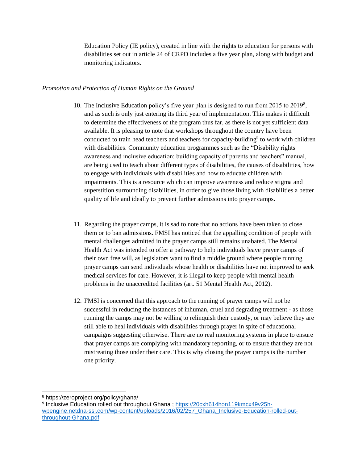Education Policy (IE policy), created in line with the rights to education for persons with disabilities set out in article 24 of CRPD includes a five year plan, along with budget and monitoring indicators.

## *Promotion and Protection of Human Rights on the Ground*

- 10. The Inclusive Education policy's five year plan is designed to run from 2015 to 2019<sup>8</sup> , and as such is only just entering its third year of implementation. This makes it difficult to determine the effectiveness of the program thus far, as there is not yet sufficient data available. It is pleasing to note that workshops throughout the country have been conducted to train head teachers and teachers for capacity-building<sup>9</sup> to work with children with disabilities. Community education programmes such as the "Disability rights awareness and inclusive education: building capacity of parents and teachers" manual, are being used to teach about different types of disabilities, the causes of disabilities, how to engage with individuals with disabilities and how to educate children with impairments. This is a resource which can improve awareness and reduce stigma and superstition surrounding disabilities, in order to give those living with disabilities a better quality of life and ideally to prevent further admissions into prayer camps.
- 11. Regarding the prayer camps, it is sad to note that no actions have been taken to close them or to ban admissions. FMSI has noticed that the appalling condition of people with mental challenges admitted in the prayer camps still remains unabated. The Mental Health Act was intended to offer a pathway to help individuals leave prayer camps of their own free will, as legislators want to find a middle ground where people running prayer camps can send individuals whose health or disabilities have not improved to seek medical services for care. However, it is illegal to keep people with mental health problems in the unaccredited facilities (art. 51 Mental Health Act, 2012).
- 12. FMSI is concerned that this approach to the running of prayer camps will not be successful in reducing the instances of inhuman, cruel and degrading treatment - as those running the camps may not be willing to relinquish their custody, or may believe they are still able to heal individuals with disabilities through prayer in spite of educational campaigns suggesting otherwise. There are no real monitoring systems in place to ensure that prayer camps are complying with mandatory reporting, or to ensure that they are not mistreating those under their care. This is why closing the prayer camps is the number one priority.

 <sup>8</sup> https://zeroproject.org/policy/ghana/

<sup>9</sup> Inclusive Education rolled out throughout Ghana ; <u>https://20cxh614hon119kmcx49v25h-</u> [wpengine.netdna-ssl.com/wp-content/uploads/2016/02/257\\_Ghana\\_Inclusive-Education-rolled-out](https://20cxh614hon119kmcx49v25h-wpengine.netdna-ssl.com/wp-content/uploads/2016/02/257_Ghana_Inclusive-Education-rolled-out-throughout-Ghana.pdf)[throughout-Ghana.pdf](https://20cxh614hon119kmcx49v25h-wpengine.netdna-ssl.com/wp-content/uploads/2016/02/257_Ghana_Inclusive-Education-rolled-out-throughout-Ghana.pdf)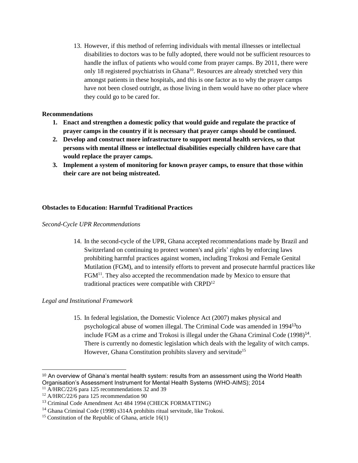13. However, if this method of referring individuals with mental illnesses or intellectual disabilities to doctors was to be fully adopted, there would not be sufficient resources to handle the influx of patients who would come from prayer camps. By 2011, there were only 18 registered psychiatrists in Ghana<sup>10</sup>. Resources are already stretched very thin amongst patients in these hospitals, and this is one factor as to why the prayer camps have not been closed outright, as those living in them would have no other place where they could go to be cared for.

## **Recommendations**

- **1. Enact and strengthen a domestic policy that would guide and regulate the practice of prayer camps in the country if it is necessary that prayer camps should be continued.**
- **2. Develop and construct more infrastructure to support mental health services, so that persons with mental illness or intellectual disabilities especially children have care that would replace the prayer camps.**
- **3. Implement a system of monitoring for known prayer camps, to ensure that those within their care are not being mistreated.**

## **Obstacles to Education: Harmful Traditional Practices**

### *Second-Cycle UPR Recommendations*

14. In the second-cycle of the UPR, Ghana accepted recommendations made by Brazil and Switzerland on continuing to protect women's and girls' rights by enforcing laws prohibiting harmful practices against women, including Trokosi and Female Genital Mutilation (FGM), and to intensify efforts to prevent and prosecute harmful practices like FGM<sup>11</sup>. They also accepted the recommendation made by Mexico to ensure that traditional practices were compatible with CRPD<sup>12</sup>

### *Legal and Institutional Framework*

15. In federal legislation, the Domestic Violence Act (2007) makes physical and psychological abuse of women illegal. The Criminal Code was amended in 1994<sup>13</sup>to include FGM as a crime and Trokosi is illegal under the Ghana Criminal Code (1998)<sup>14</sup>. There is currently no domestic legislation which deals with the legality of witch camps. However, Ghana Constitution prohibits slavery and servitude<sup>15</sup>

<sup>&</sup>lt;sup>10</sup> An overview of Ghana's mental health system: results from an assessment using the World Health Organisation's Assessment Instrument for Mental Health Systems (WHO-AIMS); 2014

<sup>&</sup>lt;sup>11</sup> A/HRC/22/6 para 125 recommendations 32 and 39

<sup>&</sup>lt;sup>12</sup> A/HRC/22/6 para 125 recommendation 90

<sup>&</sup>lt;sup>13</sup> Criminal Code Amendment Act 484 1994 (CHECK FORMATTING)

<sup>&</sup>lt;sup>14</sup> Ghana Criminal Code (1998) s314A prohibits ritual servitude, like Trokosi.

<sup>&</sup>lt;sup>15</sup> Constitution of the Republic of Ghana, article  $16(1)$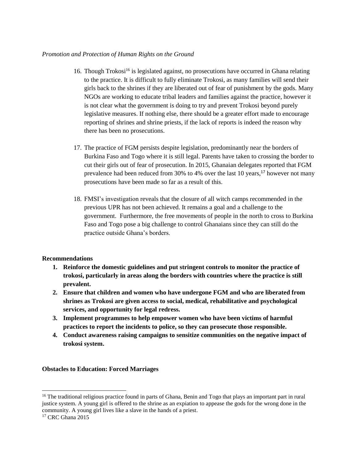### *Promotion and Protection of Human Rights on the Ground*

- 16. Though Trokosi<sup>16</sup> is legislated against, no prosecutions have occurred in Ghana relating to the practice. It is difficult to fully eliminate Trokosi, as many families will send their girls back to the shrines if they are liberated out of fear of punishment by the gods. Many NGOs are working to educate tribal leaders and families against the practice, however it is not clear what the government is doing to try and prevent Trokosi beyond purely legislative measures. If nothing else, there should be a greater effort made to encourage reporting of shrines and shrine priests, if the lack of reports is indeed the reason why there has been no prosecutions.
- 17. The practice of FGM persists despite legislation, predominantly near the borders of Burkina Faso and Togo where it is still legal. Parents have taken to crossing the border to cut their girls out of fear of prosecution. In 2015, Ghanaian delegates reported that FGM prevalence had been reduced from 30% to 4% over the last 10 years,<sup>17</sup> however not many prosecutions have been made so far as a result of this.
- 18. FMSI's investigation reveals that the closure of all witch camps recommended in the previous UPR has not been achieved. It remains a goal and a challenge to the government. Furthermore, the free movements of people in the north to cross to Burkina Faso and Togo pose a big challenge to control Ghanaians since they can still do the practice outside Ghana's borders.

## **Recommendations**

- **1. Reinforce the domestic guidelines and put stringent controls to monitor the practice of trokosi, particularly in areas along the borders with countries where the practice is still prevalent.**
- **2. Ensure that children and women who have undergone FGM and who are liberated from shrines as Trokosi are given access to social, medical, rehabilitative and psychological services, and opportunity for legal redress.**
- **3. Implement programmes to help empower women who have been victims of harmful practices to report the incidents to police, so they can prosecute those responsible.**
- **4. Conduct awareness raising campaigns to sensitize communities on the negative impact of trokosi system.**

### **Obstacles to Education: Forced Marriages**

<sup>&</sup>lt;sup>16</sup> The traditional religious practice found in parts of Ghana, Benin and Togo that plays an important part in rural justice system. A young girl is offered to the shrine as an expiation to appease the gods for the wrong done in the community. A young girl lives like a slave in the hands of a priest.

<sup>&</sup>lt;sup>17</sup> CRC Ghana 2015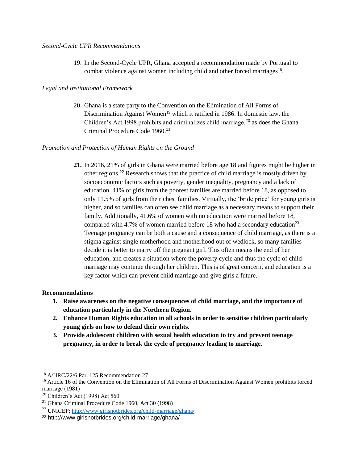19. In the Second-Cycle UPR, Ghana accepted a recommendation made by Portugal to combat violence against women including child and other forced marriages<sup>18</sup>.

### *Legal and Institutional Framework*

20. Ghana is a state party to the Convention on the Elimination of All Forms of Discrimination Against Women<sup>19</sup> which it ratified in 1986. In domestic law, the Children's Act 1998 prohibits and criminalizes child marriage, $2<sup>0</sup>$  as does the Ghana Criminal Procedure Code 1960.<sup>21</sup>

### *Promotion and Protection of Human Rights on the Ground*

**21.** In 2016, 21% of girls in Ghana were married before age 18 and figures might be higher in other regions. <sup>22</sup> Research shows that the practice of child marriage is mostly driven by socioeconomic factors such as poverty, gender inequality, pregnancy and a lack of education. 41% of girls from the poorest families are married before 18, as opposed to only 11.5% of girls from the richest families. Virtually, the 'bride price' for young girls is higher, and so families can often see child marriage as a necessary means to support their family. Additionally, 41.6% of women with no education were married before 18, compared with 4.7% of women married before 18 who had a secondary education<sup>23</sup>. Teenage pregnancy can be both a cause and a consequence of child marriage, as there is a stigma against single motherhood and motherhood out of wedlock, so many families decide it is better to marry off the pregnant girl. This often means the end of her education, and creates a situation where the poverty cycle and thus the cycle of child marriage may continue through her children. This is of great concern, and education is a key factor which can prevent child marriage and give girls a future.

#### **Recommendations**

 $\overline{a}$ 

- **1. Raise awareness on the negative consequences of child marriage, and the importance of education particularly in the Northern Region.**
- **2. Enhance Human Rights education in all schools in order to sensitise children particularly young girls on how to defend their own rights.**
- **3. Provide adolescent children with sexual health education to try and prevent teenage pregnancy, in order to break the cycle of pregnancy leading to marriage.**

<sup>18</sup> A/HRC/22/6 Par. 125 Recommendation 27

<sup>&</sup>lt;sup>19</sup> Article 16 of the Convention on the Elimination of All Forms of Discrimination Against Women prohibits forced marriage (1981)

<sup>20</sup> Children's Act (1998) Act 560.

 $21$  Ghana Criminal Procedure Code 1960, Act 30 (1998)

<sup>22</sup> UNICEF;<http://www.girlsnotbrides.org/child-marriage/ghana/>

<sup>23</sup> http://www.girlsnotbrides.org/child-marriage/ghana/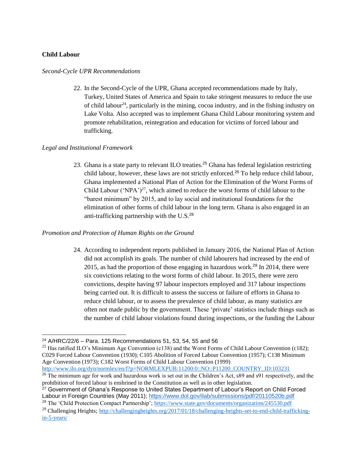## **Child Labour**

#### *Second-Cycle UPR Recommendations*

22. In the Second-Cycle of the UPR, Ghana accepted recommendations made by Italy, Turkey, United States of America and Spain to take stringent measures to reduce the use of child labour<sup>24</sup>, particularly in the mining, cocoa industry, and in the fishing industry on Lake Volta. Also accepted was to implement Ghana Child Labour monitoring system and promote rehabilitation, reintegration and education for victims of forced labour and trafficking.

### *Legal and Institutional Framework*

23. Ghana is a state party to relevant ILO treaties.<sup>25</sup> Ghana has federal legislation restricting child labour, however, these laws are not strictly enforced.<sup>26</sup> To help reduce child labour, Ghana implemented a National Plan of Action for the Elimination of the Worst Forms of Child Labour ('NPA')<sup>27</sup>, which aimed to reduce the worst forms of child labour to the "barest minimum" by 2015, and to lay social and institutional foundations for the elimination of other forms of child labour in the long term. Ghana is also engaged in an anti-trafficking partnership with the  $U.S.<sup>28</sup>$ 

### *Promotion and Protection of Human Rights on the Ground*

24. According to independent reports published in January 2016, the National Plan of Action did not accomplish its goals. The number of child labourers had increased by the end of 2015, as had the proportion of those engaging in hazardous work.<sup>29</sup> In 2014, there were six convictions relating to the worst forms of child labour. In 2015, there were zero convictions, despite having 97 labour inspectors employed and 317 labour inspections being carried out. It is difficult to assess the success or failure of efforts in Ghana to reduce child labour, or to assess the prevalence of child labour, as many statistics are often not made public by the government. These 'private' statistics include things such as the number of child labour violations found during inspections, or the funding the Labour

[http://www.ilo.org/dyn/normlex/en/f?p=NORMLEXPUB:11200:0::NO::P11200\\_COUNTRY\\_ID:103231](http://www.ilo.org/dyn/normlex/en/f?p=NORMLEXPUB:11200:0::NO::P11200_COUNTRY_ID:103231)

 <sup>24</sup> A/HRC/22/6 – Para. 125 Recommendations 51, 53, 54, 55 and 56

<sup>&</sup>lt;sup>25</sup> Has ratified ILO's Minimum Age Convention (c138) and the Worst Forms of Child Labour Convention (c182); C029 Forced Labour Convention (1930); C105 Abolition of Forced Labour Convention (1957); C138 Minimum Age Convention (1973); C182 Worst Forms of Child Labour Convention (1999)

 $^{26}$  The minimum age for work and hazardous work is set out in the Children's Act, s89 and s91 respectively, and the prohibition of forced labour is enshrined in the Constitution as well as in other legislation.

<sup>&</sup>lt;sup>27</sup> Government of Ghana's Response to United States Department of Labour's Report on Child Forced Labour in Foreign Countries (May 2011);<https://www.dol.gov/ilab/submissions/pdf/20110520b.pdf>

<sup>&</sup>lt;sup>28</sup> The 'Child Protection Compact Partnership';<https://www.state.gov/documents/organization/245530.pdf>

<sup>&</sup>lt;sup>29</sup> Challenging Heights; [http://challengingheights.org/2017/01/18/challenging-heights-set-to-end-child-trafficking](http://challengingheights.org/2017/01/18/challenging-heights-set-to-end-child-trafficking-in-5-years/)[in-5-years/](http://challengingheights.org/2017/01/18/challenging-heights-set-to-end-child-trafficking-in-5-years/)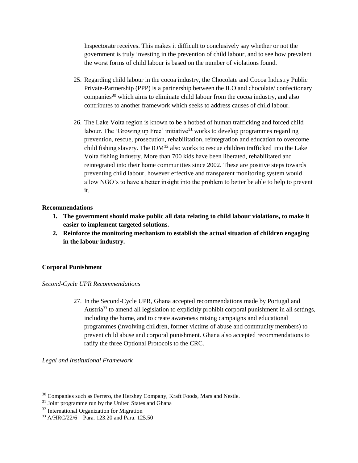Inspectorate receives. This makes it difficult to conclusively say whether or not the government is truly investing in the prevention of child labour, and to see how prevalent the worst forms of child labour is based on the number of violations found.

- 25. Regarding child labour in the cocoa industry, the Chocolate and Cocoa Industry Public Private-Partnership (PPP) is a partnership between the ILO and chocolate/ confectionary companies<sup>30</sup> which aims to eliminate child labour from the cocoa industry, and also contributes to another framework which seeks to address causes of child labour.
- 26. The Lake Volta region is known to be a hotbed of human trafficking and forced child labour. The 'Growing up Free' initiative<sup>31</sup> works to develop programmes regarding prevention, rescue, prosecution, rehabilitation, reintegration and education to overcome child fishing slavery. The IOM<sup>32</sup> also works to rescue children trafficked into the Lake Volta fishing industry. More than 700 kids have been liberated, rehabilitated and reintegrated into their home communities since 2002. These are positive steps towards preventing child labour, however effective and transparent monitoring system would allow NGO's to have a better insight into the problem to better be able to help to prevent it.

## **Recommendations**

- **1. The government should make public all data relating to child labour violations, to make it easier to implement targeted solutions.**
- **2. Reinforce the monitoring mechanism to establish the actual situation of children engaging in the labour industry.**

## **Corporal Punishment**

### *Second-Cycle UPR Recommendations*

27. In the Second-Cycle UPR, Ghana accepted recommendations made by Portugal and Austria<sup>33</sup> to amend all legislation to explicitly prohibit corporal punishment in all settings, including the home, and to create awareness raising campaigns and educational programmes (involving children, former victims of abuse and community members) to prevent child abuse and corporal punishment. Ghana also accepted recommendations to ratify the three Optional Protocols to the CRC.

*Legal and Institutional Framework*

<sup>&</sup>lt;sup>30</sup> Companies such as Ferrero, the Hershey Company, Kraft Foods, Mars and Nestle.

<sup>&</sup>lt;sup>31</sup> Joint programme run by the United States and Ghana

<sup>32</sup> International Organization for Migration

<sup>33</sup> A/HRC/22/6 – Para. 123.20 and Para. 125.50